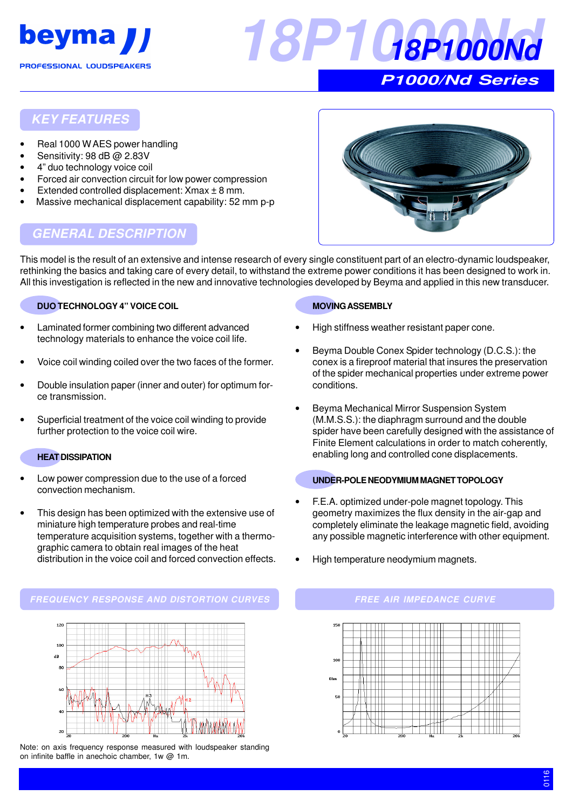



# **KEY FEATURES**

- Real 1000 W AES power handling
- Sensitivity: 98 dB @ 2.83V
- 4" duo technology voice coil
- Forced air convection circuit for low power compression
- Extended controlled displacement:  $X$ max  $\pm$  8 mm.
- Massive mechanical displacement capability: 52 mm p-p



# **GENERAL DESCRIPTION**

This model is the result of an extensive and intense research of every single constituent part of an electro-dynamic loudspeaker, rethinking the basics and taking care of every detail, to withstand the extreme power conditions it has been designed to work in. All this investigation is reflected in the new and innovative technologies developed by Beyma and applied in this new transducer.

#### **DUO TECHNOLOGY 4" VOICE COIL**

- Laminated former combining two different advanced technology materials to enhance the voice coil life.
- Voice coil winding coiled over the two faces of the former.
- Double insulation paper (inner and outer) for optimum force transmission.
- Superficial treatment of the voice coil winding to provide further protection to the voice coil wire.

#### **HEAT DISSIPATION**

- Low power compression due to the use of a forced convection mechanism.
- This design has been optimized with the extensive use of miniature high temperature probes and real-time temperature acquisition systems, together with a thermographic camera to obtain real images of the heat distribution in the voice coil and forced convection effects.

# **MOVING ASSEMBLY**

- High stiffness weather resistant paper cone.
- Beyma Double Conex Spider technology (D.C.S.): the conex is a fireproof material that insures the preservation of the spider mechanical properties under extreme power conditions.
- Beyma Mechanical Mirror Suspension System (M.M.S.S.): the diaphragm surround and the double spider have been carefully designed with the assistance of Finite Element calculations in order to match coherently, enabling long and controlled cone displacements.

#### **UNDER-POLE NEODYMIUM MAGNET TOPOLOGY**

- F.E.A. optimized under-pole magnet topology. This geometry maximizes the flux density in the air-gap and completely eliminate the leakage magnetic field, avoiding any possible magnetic interference with other equipment.
- High temperature neodymium magnets.

#### **FREQUENCY RESPONSE AND DISTORTION CURVES FREE AIR IMPEDANCE CURVE**



Note: on axis frequency response measured with loudspeaker standing on infinite baffle in anechoic chamber, 1w @ 1m.